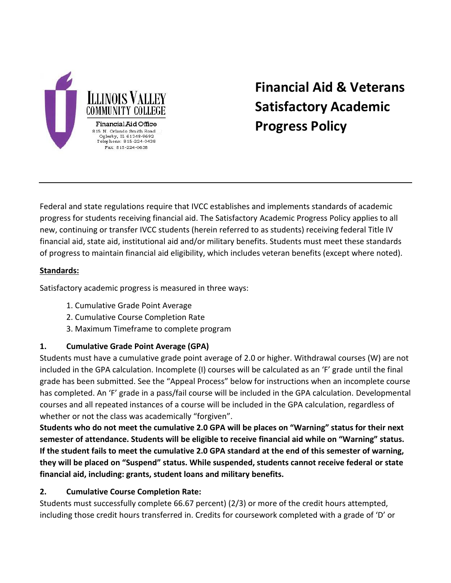

# **Financial Aid & Veterans Satisfactory Academic Progress Policy**

Federal and state regulations require that IVCC establishes and implements standards of academic progress for students receiving financial aid. The Satisfactory Academic Progress Policy applies to all new, continuing or transfer IVCC students (herein referred to as students) receiving federal Title IV financial aid, state aid, institutional aid and/or military benefits. Students must meet these standards of progress to maintain financial aid eligibility, which includes veteran benefits (except where noted).

# **Standards:**

Satisfactory academic progress is measured in three ways:

- 1. Cumulative Grade Point Average
- 2. Cumulative Course Completion Rate
- 3. Maximum Timeframe to complete program

#### **1. Cumulative Grade Point Average (GPA)**

Students must have a cumulative grade point average of 2.0 or higher. Withdrawal courses (W) are not included in the GPA calculation. Incomplete (I) courses will be calculated as an 'F' grade until the final grade has been submitted. See the "Appeal Process" below for instructions when an incomplete course has completed. An 'F' grade in a pass/fail course will be included in the GPA calculation. Developmental courses and all repeated instances of a course will be included in the GPA calculation, regardless of whether or not the class was academically "forgiven".

**Students who do not meet the cumulative 2.0 GPA will be places on "Warning" status for their next semester of attendance. Students will be eligible to receive financial aid while on "Warning" status. If the student fails to meet the cumulative 2.0 GPA standard at the end of this semester of warning, they will be placed on "Suspend" status. While suspended, students cannot receive federal or state financial aid, including: grants, student loans and military benefits.**

#### **2. Cumulative Course Completion Rate:**

Students must successfully complete 66.67 percent) (2/3) or more of the credit hours attempted, including those credit hours transferred in. Credits for coursework completed with a grade of 'D' or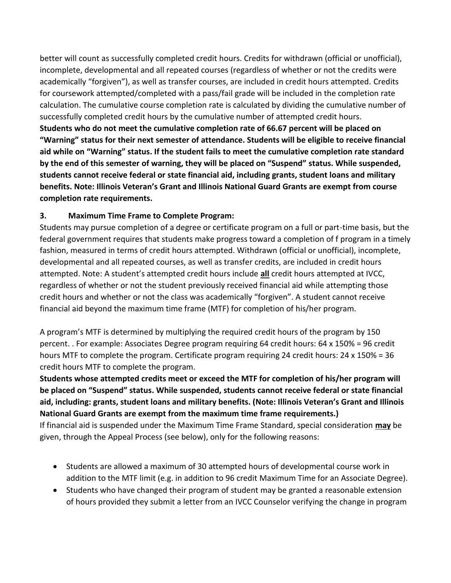better will count as successfully completed credit hours. Credits for withdrawn (official or unofficial), incomplete, developmental and all repeated courses (regardless of whether or not the credits were academically "forgiven"), as well as transfer courses, are included in credit hours attempted. Credits for coursework attempted/completed with a pass/fail grade will be included in the completion rate calculation. The cumulative course completion rate is calculated by dividing the cumulative number of successfully completed credit hours by the cumulative number of attempted credit hours. **Students who do not meet the cumulative completion rate of 66.67 percent will be placed on "Warning" status for their next semester of attendance. Students will be eligible to receive financial aid while on "Warning" status. If the student fails to meet the cumulative completion rate standard by the end of this semester of warning, they will be placed on "Suspend" status. While suspended, students cannot receive federal or state financial aid, including grants, student loans and military benefits. Note: Illinois Veteran's Grant and Illinois National Guard Grants are exempt from course completion rate requirements.**

# **3. Maximum Time Frame to Complete Program:**

Students may pursue completion of a degree or certificate program on a full or part-time basis, but the federal government requires that students make progress toward a completion of f program in a timely fashion, measured in terms of credit hours attempted. Withdrawn (official or unofficial), incomplete, developmental and all repeated courses, as well as transfer credits, are included in credit hours attempted. Note: A student's attempted credit hours include **all** credit hours attempted at IVCC, regardless of whether or not the student previously received financial aid while attempting those credit hours and whether or not the class was academically "forgiven". A student cannot receive financial aid beyond the maximum time frame (MTF) for completion of his/her program.

A program's MTF is determined by multiplying the required credit hours of the program by 150 percent. . For example: Associates Degree program requiring 64 credit hours: 64 x 150% = 96 credit hours MTF to complete the program. Certificate program requiring 24 credit hours: 24 x 150% = 36 credit hours MTF to complete the program.

**Students whose attempted credits meet or exceed the MTF for completion of his/her program will be placed on "Suspend" status. While suspended, students cannot receive federal or state financial aid, including: grants, student loans and military benefits. (Note: Illinois Veteran's Grant and Illinois National Guard Grants are exempt from the maximum time frame requirements.)**

If financial aid is suspended under the Maximum Time Frame Standard, special consideration **may** be given, through the Appeal Process (see below), only for the following reasons:

- Students are allowed a maximum of 30 attempted hours of developmental course work in addition to the MTF limit (e.g. in addition to 96 credit Maximum Time for an Associate Degree).
- Students who have changed their program of student may be granted a reasonable extension of hours provided they submit a letter from an IVCC Counselor verifying the change in program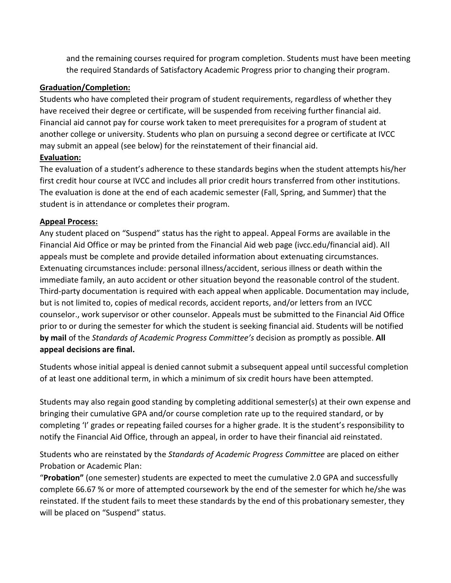and the remaining courses required for program completion. Students must have been meeting the required Standards of Satisfactory Academic Progress prior to changing their program.

#### **Graduation/Completion:**

Students who have completed their program of student requirements, regardless of whether they have received their degree or certificate, will be suspended from receiving further financial aid. Financial aid cannot pay for course work taken to meet prerequisites for a program of student at another college or university. Students who plan on pursuing a second degree or certificate at IVCC may submit an appeal (see below) for the reinstatement of their financial aid.

# **Evaluation:**

The evaluation of a student's adherence to these standards begins when the student attempts his/her first credit hour course at IVCC and includes all prior credit hours transferred from other institutions. The evaluation is done at the end of each academic semester (Fall, Spring, and Summer) that the student is in attendance or completes their program.

# **Appeal Process:**

Any student placed on "Suspend" status has the right to appeal. Appeal Forms are available in the Financial Aid Office or may be printed from the Financial Aid web page (ivcc.edu/financial aid). All appeals must be complete and provide detailed information about extenuating circumstances. Extenuating circumstances include: personal illness/accident, serious illness or death within the immediate family, an auto accident or other situation beyond the reasonable control of the student. Third-party documentation is required with each appeal when applicable. Documentation may include, but is not limited to, copies of medical records, accident reports, and/or letters from an IVCC counselor., work supervisor or other counselor. Appeals must be submitted to the Financial Aid Office prior to or during the semester for which the student is seeking financial aid. Students will be notified **by mail** of the *Standards of Academic Progress Committee's* decision as promptly as possible. **All appeal decisions are final.**

Students whose initial appeal is denied cannot submit a subsequent appeal until successful completion of at least one additional term, in which a minimum of six credit hours have been attempted.

Students may also regain good standing by completing additional semester(s) at their own expense and bringing their cumulative GPA and/or course completion rate up to the required standard, or by completing 'I' grades or repeating failed courses for a higher grade. It is the student's responsibility to notify the Financial Aid Office, through an appeal, in order to have their financial aid reinstated.

Students who are reinstated by the *Standards of Academic Progress Committee* are placed on either Probation or Academic Plan:

"**Probation"** (one semester) students are expected to meet the cumulative 2.0 GPA and successfully complete 66.67 % or more of attempted coursework by the end of the semester for which he/she was reinstated. If the student fails to meet these standards by the end of this probationary semester, they will be placed on "Suspend" status.